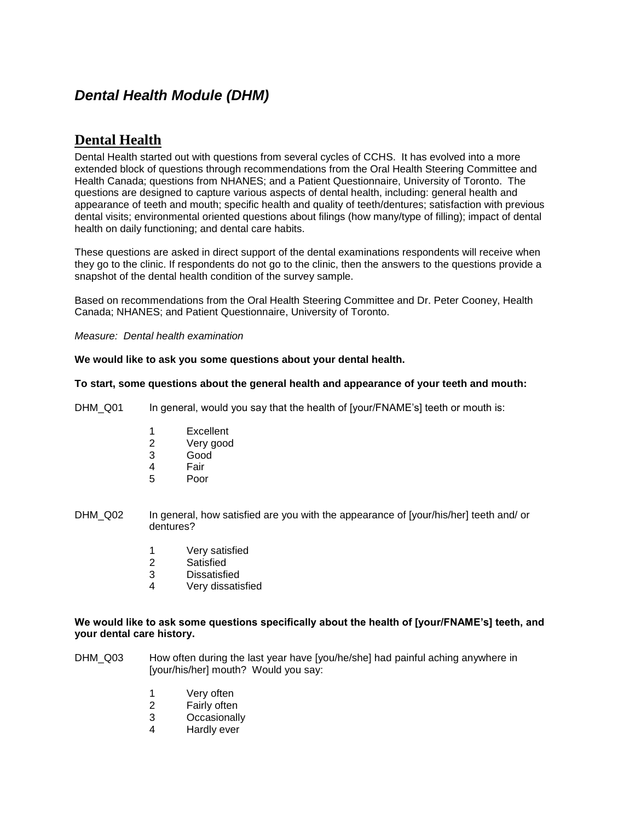# *Dental Health Module (DHM)*

# **Dental Health**

Dental Health started out with questions from several cycles of CCHS. It has evolved into a more extended block of questions through recommendations from the Oral Health Steering Committee and Health Canada; questions from NHANES; and a Patient Questionnaire, University of Toronto. The questions are designed to capture various aspects of dental health, including: general health and appearance of teeth and mouth; specific health and quality of teeth/dentures; satisfaction with previous dental visits; environmental oriented questions about filings (how many/type of filling); impact of dental health on daily functioning; and dental care habits.

These questions are asked in direct support of the dental examinations respondents will receive when they go to the clinic. If respondents do not go to the clinic, then the answers to the questions provide a snapshot of the dental health condition of the survey sample.

Based on recommendations from the Oral Health Steering Committee and Dr. Peter Cooney, Health Canada; NHANES; and Patient Questionnaire, University of Toronto.

*Measure: Dental health examination*

# **We would like to ask you some questions about your dental health.**

# **To start, some questions about the general health and appearance of your teeth and mouth:**

DHM\_Q01 In general, would you say that the health of [your/FNAME's] teeth or mouth is:

- 1 Excellent
- 2 Very good
- 3 Good
- 4 Fair
- 5 Poor
- DHM\_Q02 In general, how satisfied are you with the appearance of [your/his/her] teeth and/ or dentures?
	- 1 Very satisfied
	- 2 Satisfied
	- 3 Dissatisfied
	- 4 Very dissatisfied

# **We would like to ask some questions specifically about the health of [your/FNAME's] teeth, and your dental care history.**

- DHM\_Q03 How often during the last year have [you/he/she] had painful aching anywhere in [your/his/her] mouth? Would you say:
	- 1 Very often
	- 2 Fairly often
	- 3 Occasionally
	- 4 Hardly ever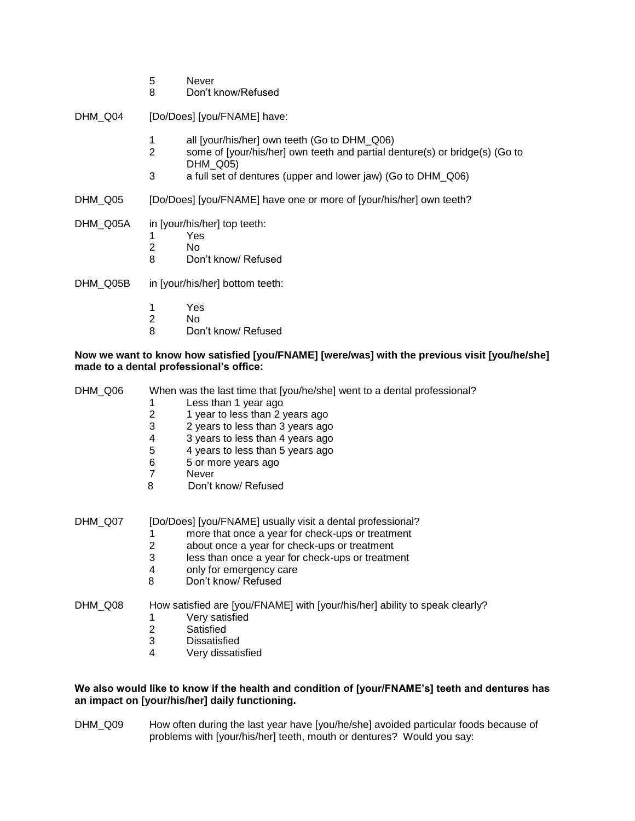- 5 Never
- 8 Don't know/Refused

DHM\_Q04 [Do/Does] [you/FNAME] have:

- 1 all [your/his/her] own teeth (Go to DHM\_Q06)
- 2 some of [your/his/her] own teeth and partial denture(s) or bridge(s) (Go to DHM<sub>Q05</sub>)
- 3 a full set of dentures (upper and lower jaw) (Go to DHM\_Q06)
- DHM\_Q05 [Do/Does] [you/FNAME] have one or more of [your/his/her] own teeth?
- DHM\_Q05A in [your/his/her] top teeth:
	- 1 Yes
	- 2 No<br>8 Dou
	- Don't know/ Refused

DHM\_Q05B in [your/his/her] bottom teeth:

- 
- 1 Yes<br>2 No
- 2 No<br>8 Dor Don't know/ Refused

# **Now we want to know how satisfied [you/FNAME] [were/was] with the previous visit [you/he/she] made to a dental professional's office:**

| DHM Q06 | When was the last time that [you/he/she] went to a dental professional?<br>Less than 1 year ago<br>$\overline{2}$<br>1 year to less than 2 years ago<br>3<br>2 years to less than 3 years ago<br>3 years to less than 4 years ago<br>4<br>5<br>4 years to less than 5 years ago<br>6<br>5 or more years ago<br>$\overline{7}$<br>Never<br>8<br>Don't know/ Refused |
|---------|--------------------------------------------------------------------------------------------------------------------------------------------------------------------------------------------------------------------------------------------------------------------------------------------------------------------------------------------------------------------|
| DHM_Q07 | [Do/Does] [you/FNAME] usually visit a dental professional?<br>more that once a year for check-ups or treatment<br>$\overline{2}$<br>about once a year for check-ups or treatment<br>3<br>less than once a year for check-ups or treatment<br>only for emergency care<br>4<br>8<br>Don't know/ Refused                                                              |
| DHM Q08 | How satisfied are [you/FNAME] with [your/his/her] ability to speak clearly?<br>Very satisfied<br>1<br>2<br>Satisfied<br>3<br><b>Dissatisfied</b><br>4<br>Very dissatisfied                                                                                                                                                                                         |

# **We also would like to know if the health and condition of [your/FNAME's] teeth and dentures has an impact on [your/his/her] daily functioning.**

DHM\_Q09 How often during the last year have [you/he/she] avoided particular foods because of problems with [your/his/her] teeth, mouth or dentures? Would you say: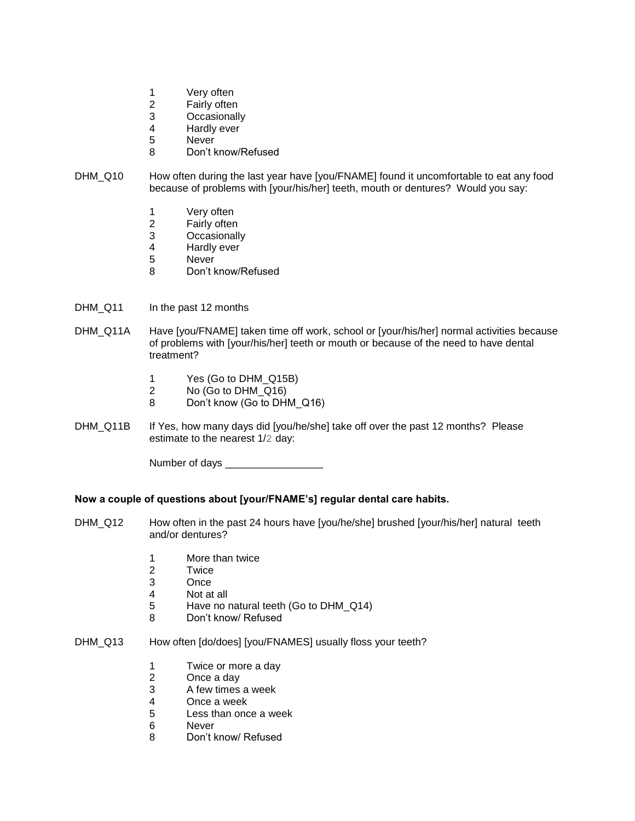- 1 Very often
- 
- 2 Fairly often<br>3 Occasionall **Occasionally**
- 4 Hardly ever
- 5 Never
- 8 Don't know/Refused
- DHM\_Q10 How often during the last year have [you/FNAME] found it uncomfortable to eat any food because of problems with [your/his/her] teeth, mouth or dentures? Would you say:
	- 1 Very often
	- 2 Fairly often
	- 3 Occasionally
	- 4 Hardly ever<br>5 Never
	- **Never**
	- 8 Don't know/Refused
- DHM\_Q11 In the past 12 months
- DHM\_Q11A Have [you/FNAME] taken time off work, school or [your/his/her] normal activities because of problems with [your/his/her] teeth or mouth or because of the need to have dental treatment?
	- 1 Yes (Go to DHM\_Q15B)
	- 2 No (Go to DHM\_Q16)
	- 8 Don't know (Go to DHM\_Q16)
- DHM\_Q11B If Yes, how many days did [you/he/she] take off over the past 12 months? Please estimate to the nearest 1/2 day:

Number of days \_\_\_\_\_\_\_\_\_\_\_\_\_\_\_\_\_

# **Now a couple of questions about [your/FNAME's] regular dental care habits.**

- DHM\_Q12 How often in the past 24 hours have [you/he/she] brushed [your/his/her] natural teeth and/or dentures?
	- 1 More than twice
	- 2 Twice
	- 3 Once
	- 4 Not at all
	- 5 Have no natural teeth (Go to DHM\_Q14)
	- 8 Don't know/ Refused
- DHM\_Q13 How often [do/does] [you/FNAMES] usually floss your teeth?
	- 1 Twice or more a day
	- 2 Once a day
	- 3 A few times a week<br>4 Once a week
	- 4 Once a week<br>5 Less than onc
	- Less than once a week
	- 6 Never
	- 8 Don't know/ Refused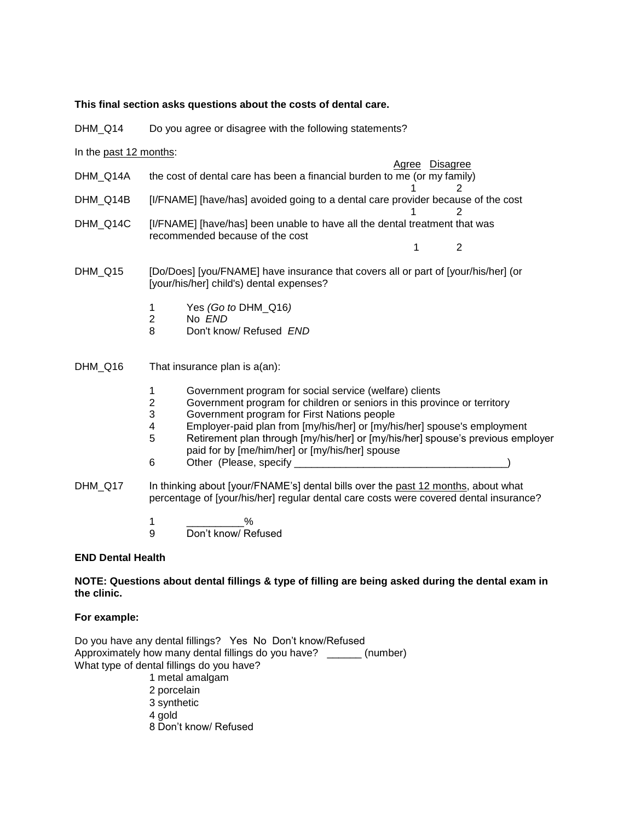#### **This final section asks questions about the costs of dental care.**

DHM Q14 Do you agree or disagree with the following statements?

In the past 12 months:

 Agree Disagree DHM\_Q14A the cost of dental care has been a financial burden to me (or my family)

1 2

- $1$  2 DHM\_Q14B [I/FNAME] [have/has] avoided going to a dental care provider because of the cost
- 1 2 DHM\_Q14C [I/FNAME] [have/has] been unable to have all the dental treatment that was recommended because of the cost
- DHM\_Q15 [Do/Does] [you/FNAME] have insurance that covers all or part of [your/his/her] (or [your/his/her] child's) dental expenses?
	- 1 Yes *(Go to* DHM\_Q16*)*
	- 2 No *END*
	- 8 Don't know/ Refused *END*

DHM\_Q16 That insurance plan is a(an):

- 1 Government program for social service (welfare) clients
- 2 Government program for children or seniors in this province or territory
- 3 Government program for First Nations people
- 4 Employer-paid plan from [my/his/her] or [my/his/her] spouse's employment
- 5 Retirement plan through [my/his/her] or [my/his/her] spouse's previous employer paid for by [me/him/her] or [my/his/her] spouse
- 6 Other (Please, specify \_\_\_\_\_\_\_\_\_\_\_\_\_\_\_\_\_\_\_\_\_\_\_\_\_\_\_\_\_\_\_\_\_\_\_\_\_)
- DHM Q17 In thinking about [your/FNAME's] dental bills over the past 12 months, about what percentage of [your/his/her] regular dental care costs were covered dental insurance?
	- 1 \_\_\_\_\_\_\_\_\_\_\_\_% 9 Don't know/ Refused

# **END Dental Health**

# **NOTE: Questions about dental fillings & type of filling are being asked during the dental exam in the clinic.**

# **For example:**

Do you have any dental fillings? Yes No Don't know/Refused Approximately how many dental fillings do you have? \_\_\_\_\_\_ (number) What type of dental fillings do you have? 1 metal amalgam

- 
- 2 porcelain
- 3 synthetic
- 4 gold
- 8 Don't know/ Refused